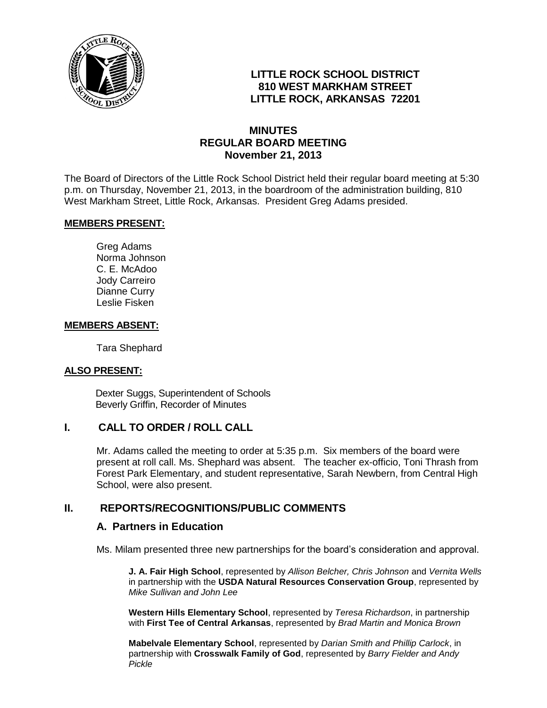

# **LITTLE ROCK SCHOOL DISTRICT 810 WEST MARKHAM STREET LITTLE ROCK, ARKANSAS 72201**

# **MINUTES REGULAR BOARD MEETING November 21, 2013**

The Board of Directors of the Little Rock School District held their regular board meeting at 5:30 p.m. on Thursday, November 21, 2013, in the boardroom of the administration building, 810 West Markham Street, Little Rock, Arkansas. President Greg Adams presided.

#### **MEMBERS PRESENT:**

Greg Adams Norma Johnson C. E. McAdoo Jody Carreiro Dianne Curry Leslie Fisken

#### **MEMBERS ABSENT:**

Tara Shephard

#### **ALSO PRESENT:**

 Dexter Suggs, Superintendent of Schools Beverly Griffin, Recorder of Minutes

#### **I. CALL TO ORDER / ROLL CALL**

Mr. Adams called the meeting to order at 5:35 p.m. Six members of the board were present at roll call. Ms. Shephard was absent. The teacher ex-officio, Toni Thrash from Forest Park Elementary, and student representative, Sarah Newbern, from Central High School, were also present.

## **II. REPORTS/RECOGNITIONS/PUBLIC COMMENTS**

#### **A. Partners in Education**

Ms. Milam presented three new partnerships for the board's consideration and approval.

**J. A. Fair High School**, represented by *Allison Belcher, Chris Johnson* and *Vernita Wells* in partnership with the **USDA Natural Resources Conservation Group**, represented by *Mike Sullivan and John Lee*

**Western Hills Elementary School**, represented by *Teresa Richardson*, in partnership with **First Tee of Central Arkansas**, represented by *Brad Martin and Monica Brown*

**Mabelvale Elementary School**, represented by *Darian Smith and Phillip Carlock*, in partnership with **Crosswalk Family of God**, represented by *Barry Fielder and Andy Pickle*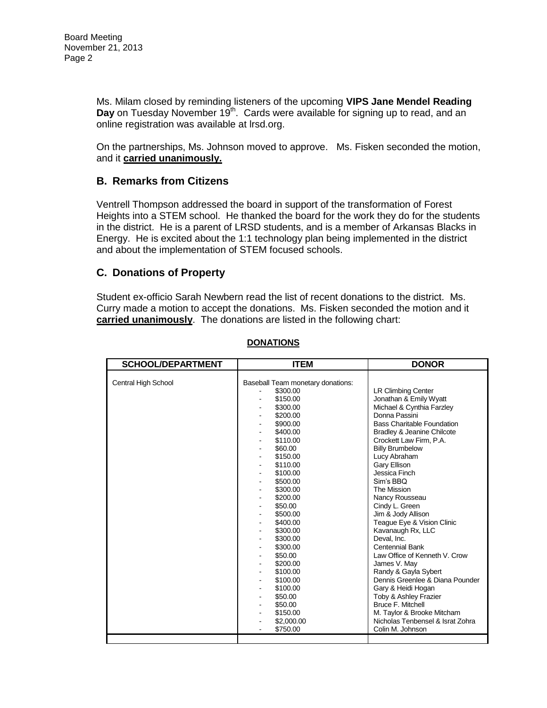Ms. Milam closed by reminding listeners of the upcoming **VIPS Jane Mendel Reading**  Day on Tuesday November 19<sup>th</sup>. Cards were available for signing up to read, and an online registration was available at lrsd.org.

On the partnerships, Ms. Johnson moved to approve. Ms. Fisken seconded the motion, and it **carried unanimously.**

## **B. Remarks from Citizens**

Ventrell Thompson addressed the board in support of the transformation of Forest Heights into a STEM school. He thanked the board for the work they do for the students in the district. He is a parent of LRSD students, and is a member of Arkansas Blacks in Energy. He is excited about the 1:1 technology plan being implemented in the district and about the implementation of STEM focused schools.

#### **C. Donations of Property**

Student ex-officio Sarah Newbern read the list of recent donations to the district. Ms. Curry made a motion to accept the donations. Ms. Fisken seconded the motion and it **carried unanimously**. The donations are listed in the following chart:

| <b>SCHOOL/DEPARTMENT</b> | <b>ITEM</b>                                               | <b>DONOR</b>                                        |
|--------------------------|-----------------------------------------------------------|-----------------------------------------------------|
| Central High School      | Baseball Team monetary donations:<br>\$300.00<br>\$150.00 | <b>LR Climbing Center</b><br>Jonathan & Emily Wyatt |
|                          | \$300.00                                                  | Michael & Cynthia Farzley                           |
|                          | \$200.00                                                  | Donna Passini<br><b>Bass Charitable Foundation</b>  |
|                          | \$900.00<br>\$400.00                                      | Bradley & Jeanine Chilcote                          |
|                          | \$110.00                                                  | Crockett Law Firm, P.A.                             |
|                          | \$60.00                                                   | <b>Billy Brumbelow</b>                              |
|                          | \$150.00                                                  | Lucy Abraham                                        |
|                          | \$110.00                                                  | Gary Ellison                                        |
|                          | \$100.00                                                  | Jessica Finch                                       |
|                          | \$500.00                                                  | Sim's BBQ                                           |
|                          | \$300.00                                                  | The Mission                                         |
|                          | \$200.00                                                  | Nancy Rousseau                                      |
|                          | \$50.00                                                   | Cindy L. Green                                      |
|                          | \$500.00                                                  | Jim & Jody Allison                                  |
|                          | \$400.00                                                  | Teague Eye & Vision Clinic                          |
|                          | \$300.00                                                  | Kavanaugh Rx, LLC                                   |
|                          | \$300.00                                                  | Deval. Inc.                                         |
|                          | \$300.00                                                  | <b>Centennial Bank</b>                              |
|                          | \$50.00                                                   | Law Office of Kenneth V. Crow                       |
|                          | \$200.00                                                  | James V. May                                        |
|                          | \$100.00                                                  | Randy & Gayla Sybert                                |
|                          | \$100.00                                                  | Dennis Greenlee & Diana Pounder                     |
|                          | \$100.00                                                  | Gary & Heidi Hogan<br>Toby & Ashley Frazier         |
|                          | \$50.00<br>\$50.00                                        | <b>Bruce F. Mitchell</b>                            |
|                          | \$150.00                                                  | M. Taylor & Brooke Mitcham                          |
|                          | \$2,000.00                                                | Nicholas Tenbensel & Israt Zohra                    |
|                          | \$750.00                                                  | Colin M. Johnson                                    |
|                          |                                                           |                                                     |

#### **DONATIONS**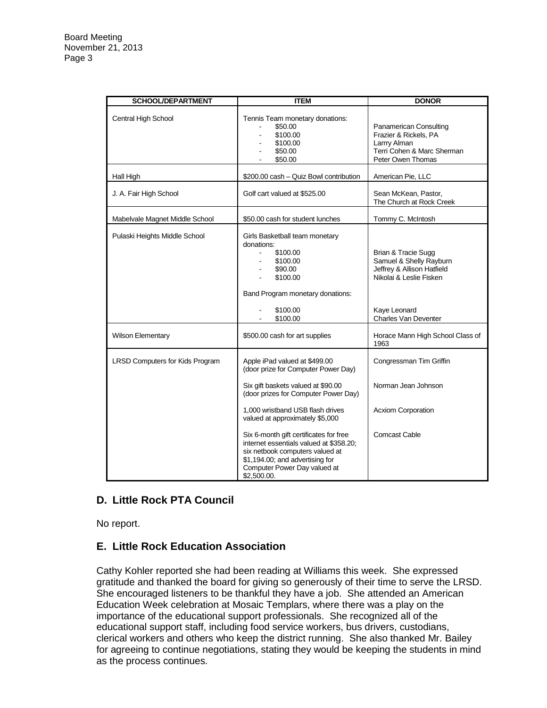| <b>SCHOOL/DEPARTMENT</b>               | <b>ITEM</b>                                                                                                                                                                                            | <b>DONOR</b>                                                                                                                                           |
|----------------------------------------|--------------------------------------------------------------------------------------------------------------------------------------------------------------------------------------------------------|--------------------------------------------------------------------------------------------------------------------------------------------------------|
| Central High School                    | Tennis Team monetary donations:<br>\$50.00<br>\$100.00<br>\$100.00<br>\$50.00<br>\$50.00                                                                                                               | Panamerican Consulting<br>Frazier & Rickels, PA<br>Larrry Alman<br>Terri Cohen & Marc Sherman<br>Peter Owen Thomas                                     |
| Hall High                              | \$200.00 cash - Quiz Bowl contribution                                                                                                                                                                 | American Pie, LLC                                                                                                                                      |
| J. A. Fair High School                 | Golf cart valued at \$525.00                                                                                                                                                                           | Sean McKean, Pastor,<br>The Church at Rock Creek                                                                                                       |
| Mabelvale Magnet Middle School         | \$50.00 cash for student lunches                                                                                                                                                                       | Tommy C. McIntosh                                                                                                                                      |
| Pulaski Heights Middle School          | Girls Basketball team monetary<br>donations:<br>\$100.00<br>\$100.00<br>\$90.00<br>\$100.00<br>Band Program monetary donations:<br>\$100.00<br>\$100.00                                                | Brian & Tracie Sugg<br>Samuel & Shelly Rayburn<br>Jeffrey & Allison Hatfield<br>Nikolai & Leslie Fisken<br>Kaye Leonard<br><b>Charles Van Deventer</b> |
| <b>Wilson Elementary</b>               | \$500.00 cash for art supplies                                                                                                                                                                         | Horace Mann High School Class of<br>1963                                                                                                               |
| <b>LRSD Computers for Kids Program</b> | Apple iPad valued at \$499.00<br>(door prize for Computer Power Day)                                                                                                                                   | Congressman Tim Griffin                                                                                                                                |
|                                        | Six gift baskets valued at \$90.00<br>(door prizes for Computer Power Day)                                                                                                                             | Norman Jean Johnson                                                                                                                                    |
|                                        | 1,000 wristband USB flash drives<br>valued at approximately \$5,000                                                                                                                                    | <b>Acxiom Corporation</b>                                                                                                                              |
|                                        | Six 6-month gift certificates for free<br>internet essentials valued at \$358.20;<br>six netbook computers valued at<br>\$1,194.00; and advertising for<br>Computer Power Day valued at<br>\$2,500.00. | <b>Comcast Cable</b>                                                                                                                                   |

# **D. Little Rock PTA Council**

No report.

## **E. Little Rock Education Association**

Cathy Kohler reported she had been reading at Williams this week. She expressed gratitude and thanked the board for giving so generously of their time to serve the LRSD. She encouraged listeners to be thankful they have a job. She attended an American Education Week celebration at Mosaic Templars, where there was a play on the importance of the educational support professionals. She recognized all of the educational support staff, including food service workers, bus drivers, custodians, clerical workers and others who keep the district running. She also thanked Mr. Bailey for agreeing to continue negotiations, stating they would be keeping the students in mind as the process continues.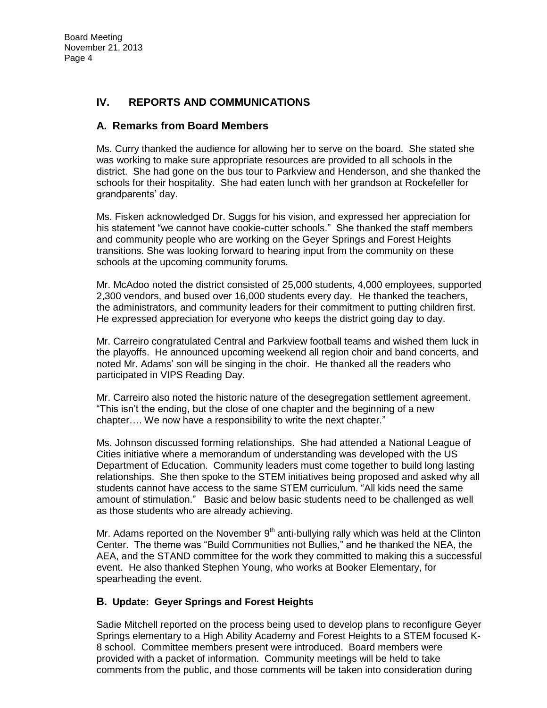# **IV. REPORTS AND COMMUNICATIONS**

### **A. Remarks from Board Members**

Ms. Curry thanked the audience for allowing her to serve on the board. She stated she was working to make sure appropriate resources are provided to all schools in the district. She had gone on the bus tour to Parkview and Henderson, and she thanked the schools for their hospitality. She had eaten lunch with her grandson at Rockefeller for grandparents' day.

Ms. Fisken acknowledged Dr. Suggs for his vision, and expressed her appreciation for his statement "we cannot have cookie-cutter schools." She thanked the staff members and community people who are working on the Geyer Springs and Forest Heights transitions. She was looking forward to hearing input from the community on these schools at the upcoming community forums.

Mr. McAdoo noted the district consisted of 25,000 students, 4,000 employees, supported 2,300 vendors, and bused over 16,000 students every day. He thanked the teachers, the administrators, and community leaders for their commitment to putting children first. He expressed appreciation for everyone who keeps the district going day to day.

Mr. Carreiro congratulated Central and Parkview football teams and wished them luck in the playoffs. He announced upcoming weekend all region choir and band concerts, and noted Mr. Adams' son will be singing in the choir. He thanked all the readers who participated in VIPS Reading Day.

Mr. Carreiro also noted the historic nature of the desegregation settlement agreement. "This isn't the ending, but the close of one chapter and the beginning of a new chapter…. We now have a responsibility to write the next chapter."

Ms. Johnson discussed forming relationships. She had attended a National League of Cities initiative where a memorandum of understanding was developed with the US Department of Education. Community leaders must come together to build long lasting relationships. She then spoke to the STEM initiatives being proposed and asked why all students cannot have access to the same STEM curriculum. "All kids need the same amount of stimulation." Basic and below basic students need to be challenged as well as those students who are already achieving.

Mr. Adams reported on the November  $9<sup>th</sup>$  anti-bullying rally which was held at the Clinton Center. The theme was "Build Communities not Bullies," and he thanked the NEA, the AEA, and the STAND committee for the work they committed to making this a successful event. He also thanked Stephen Young, who works at Booker Elementary, for spearheading the event.

#### **B. Update: Geyer Springs and Forest Heights**

Sadie Mitchell reported on the process being used to develop plans to reconfigure Geyer Springs elementary to a High Ability Academy and Forest Heights to a STEM focused K-8 school. Committee members present were introduced. Board members were provided with a packet of information. Community meetings will be held to take comments from the public, and those comments will be taken into consideration during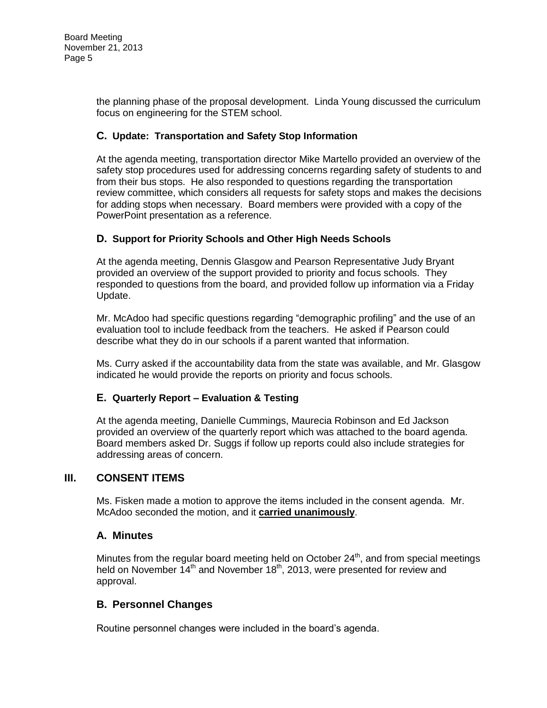the planning phase of the proposal development. Linda Young discussed the curriculum focus on engineering for the STEM school.

## **C. Update: Transportation and Safety Stop Information**

At the agenda meeting, transportation director Mike Martello provided an overview of the safety stop procedures used for addressing concerns regarding safety of students to and from their bus stops. He also responded to questions regarding the transportation review committee, which considers all requests for safety stops and makes the decisions for adding stops when necessary. Board members were provided with a copy of the PowerPoint presentation as a reference.

#### **D. Support for Priority Schools and Other High Needs Schools**

At the agenda meeting, Dennis Glasgow and Pearson Representative Judy Bryant provided an overview of the support provided to priority and focus schools. They responded to questions from the board, and provided follow up information via a Friday Update.

Mr. McAdoo had specific questions regarding "demographic profiling" and the use of an evaluation tool to include feedback from the teachers. He asked if Pearson could describe what they do in our schools if a parent wanted that information.

Ms. Curry asked if the accountability data from the state was available, and Mr. Glasgow indicated he would provide the reports on priority and focus schools.

## **E. Quarterly Report – Evaluation & Testing**

At the agenda meeting, Danielle Cummings, Maurecia Robinson and Ed Jackson provided an overview of the quarterly report which was attached to the board agenda. Board members asked Dr. Suggs if follow up reports could also include strategies for addressing areas of concern.

#### **III. CONSENT ITEMS**

Ms. Fisken made a motion to approve the items included in the consent agenda. Mr. McAdoo seconded the motion, and it **carried unanimously**.

#### **A. Minutes**

Minutes from the regular board meeting held on October  $24<sup>th</sup>$ , and from special meetings held on November  $14<sup>th</sup>$  and November  $18<sup>th</sup>$ , 2013, were presented for review and approval.

## **B. Personnel Changes**

Routine personnel changes were included in the board's agenda.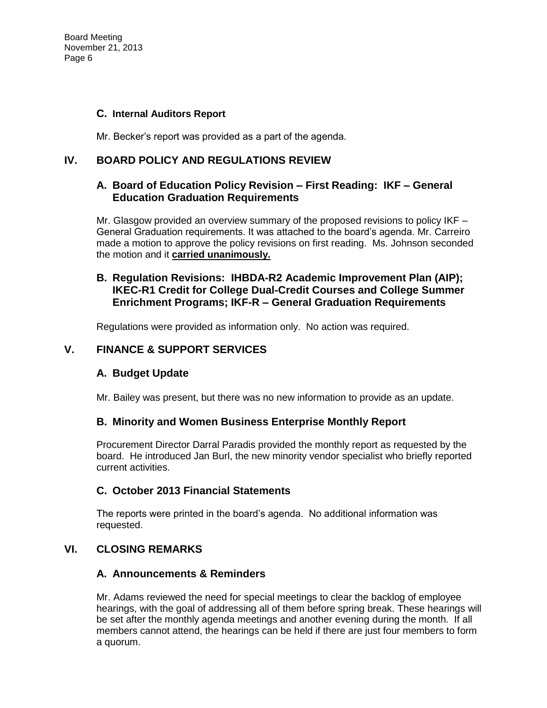Board Meeting November 21, 2013 Page 6

#### **C. Internal Auditors Report**

Mr. Becker's report was provided as a part of the agenda.

## **IV. BOARD POLICY AND REGULATIONS REVIEW**

## **A. Board of Education Policy Revision – First Reading: IKF – General Education Graduation Requirements**

Mr. Glasgow provided an overview summary of the proposed revisions to policy IKF – General Graduation requirements. It was attached to the board's agenda. Mr. Carreiro made a motion to approve the policy revisions on first reading. Ms. Johnson seconded the motion and it **carried unanimously.**

## **B. Regulation Revisions: IHBDA-R2 Academic Improvement Plan (AIP); IKEC-R1 Credit for College Dual-Credit Courses and College Summer Enrichment Programs; IKF-R – General Graduation Requirements**

Regulations were provided as information only. No action was required.

### **V. FINANCE & SUPPORT SERVICES**

## **A. Budget Update**

Mr. Bailey was present, but there was no new information to provide as an update.

## **B. Minority and Women Business Enterprise Monthly Report**

Procurement Director Darral Paradis provided the monthly report as requested by the board. He introduced Jan Burl, the new minority vendor specialist who briefly reported current activities.

## **C. October 2013 Financial Statements**

The reports were printed in the board's agenda. No additional information was requested.

## **VI. CLOSING REMARKS**

#### **A. Announcements & Reminders**

Mr. Adams reviewed the need for special meetings to clear the backlog of employee hearings, with the goal of addressing all of them before spring break. These hearings will be set after the monthly agenda meetings and another evening during the month. If all members cannot attend, the hearings can be held if there are just four members to form a quorum.